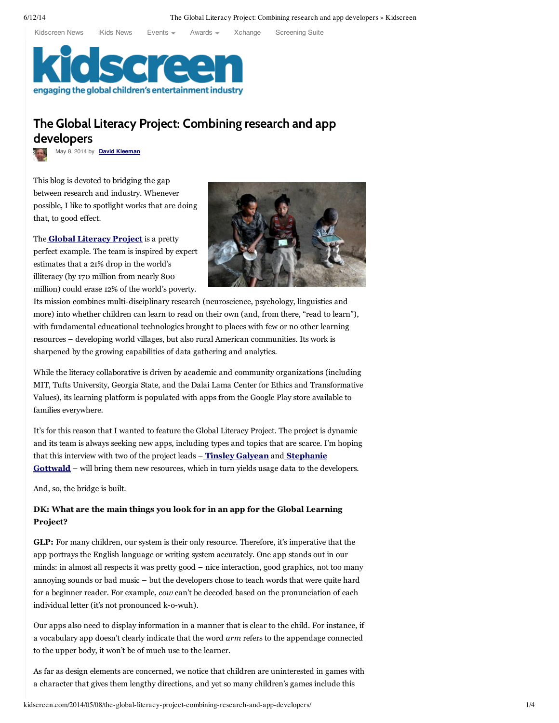[Kidscreen](http://kidscreen.com/?utm_source=ks-uni-nav) News iKids [News](http://kidscreen.com/ikids/?utm_source=ks-uni-nav) [Events](http://kidscreen.com/events/?utm_source=ks-uni-nav) [Awards](http://awards.kidscreen.com/?utm_source=ks-uni-nav) [Xchange](http://xchange.kidscreen.com/?utm_source=ks-uni-nav) [Screening](http://xchange.kidscreen.com/screeningsuite/?utm_source=ks-uni-nav) Suite



# **The Global Literacy Project: Combining research and app developers**

May 8, 2014 by **David [Kleeman](http://kidscreen.com/author/dkleeman)**

This blog is devoted to bridging the gap between research and industry. Whenever possible, I like to spotlight works that are doing that, to good effect.

The **Global [Literacy](http://www.globallit.org/) Project** is a pretty perfect example. The team is inspired by expert estimates that a 21% drop in the world's illiteracy (by 170 million from nearly 800 million) could erase 12% of the world's poverty.



Its mission combines multi-disciplinary research (neuroscience, psychology, linguistics and more) into whether children can learn to read on their own (and, from there, "read to learn"), with fundamental educational technologies brought to places with few or no other learning resources – developing world villages, but also rural American communities. Its work is sharpened by the growing capabilities of data gathering and analytics.

While the literacy collaborative is driven by academic and community organizations (including MIT, Tufts University, Georgia State, and the Dalai Lama Center for Ethics and Transformative Values), its learning platform is populated with apps from the Google Play store available to families everywhere.

It's for this reason that I wanted to feature the Global Literacy Project. The project is dynamic and its team is always seeking new apps, including types and topics that are scarce. I'm hoping that this interview with two of the project leads – **Tinsley [Galyean](http://globallit.org/staff/tinsley-galyean/)** and **[Stephanie](http://globallit.org/staff/stephanie-gottwald/) Gottwald** – will bring them new resources, which in turn yields usage data to the developers.

And, so, the bridge is built.

## **DK: What are the main things you look for in an app for the Global Learning Project?**

**GLP:** For many children, our system is their only resource. Therefore, it's imperative that the app portrays the English language or writing system accurately. One app stands out in our minds: in almost all respects it was pretty good – nice interaction, good graphics, not too many annoying sounds or bad music – but the developers chose to teach words that were quite hard for a beginner reader. For example, *cow* can't be decoded based on the pronunciation of each individual letter (it's not pronounced k-o-wuh).

Our apps also need to display information in a manner that is clear to the child. For instance, if a vocabulary app doesn't clearly indicate that the word *arm* refers to the appendage connected to the upper body, it won't be of much use to the learner.

As far as design elements are concerned, we notice that children are uninterested in games with a character that gives them lengthy directions, and yet so many children's games include this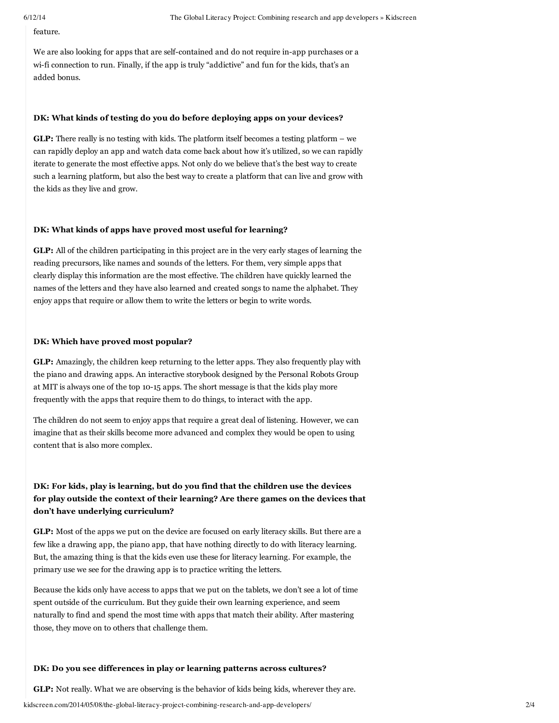feature.

We are also looking for apps that are self-contained and do not require in-app purchases or a wi-fi connection to run. Finally, if the app is truly "addictive" and fun for the kids, that's an added bonus.

## **DK: What kinds of testing do you do before deploying apps on your devices?**

**GLP:** There really is no testing with kids. The platform itself becomes a testing platform – we can rapidly deploy an app and watch data come back about how it's utilized, so we can rapidly iterate to generate the most effective apps. Not only do we believe that's the best way to create such a learning platform, but also the best way to create a platform that can live and grow with the kids as they live and grow.

#### **DK: What kinds of apps have proved most useful for learning?**

**GLP:** All of the children participating in this project are in the very early stages of learning the reading precursors, like names and sounds of the letters. For them, very simple apps that clearly display this information are the most effective. The children have quickly learned the names of the letters and they have also learned and created songs to name the alphabet. They enjoy apps that require or allow them to write the letters or begin to write words.

#### **DK: Which have proved most popular?**

**GLP:** Amazingly, the children keep returning to the letter apps. They also frequently play with the piano and drawing apps. An interactive storybook designed by the Personal Robots Group at MIT is always one of the top 10-15 apps. The short message is that the kids play more frequently with the apps that require them to do things, to interact with the app.

The children do not seem to enjoy apps that require a great deal of listening. However, we can imagine that as their skills become more advanced and complex they would be open to using content that is also more complex.

## **DK: For kids, play is learning, but do you find that the children use the devices for play outside the context of their learning? Are there games on the devices that don't have underlying curriculum?**

**GLP:** Most of the apps we put on the device are focused on early literacy skills. But there are a few like a drawing app, the piano app, that have nothing directly to do with literacy learning. But, the amazing thing is that the kids even use these for literacy learning. For example, the primary use we see for the drawing app is to practice writing the letters.

Because the kids only have access to apps that we put on the tablets, we don't see a lot of time spent outside of the curriculum. But they guide their own learning experience, and seem naturally to find and spend the most time with apps that match their ability. After mastering those, they move on to others that challenge them.

## **DK: Do you see differences in play or learning patterns across cultures?**

**GLP:** Not really. What we are observing is the behavior of kids being kids, wherever they are.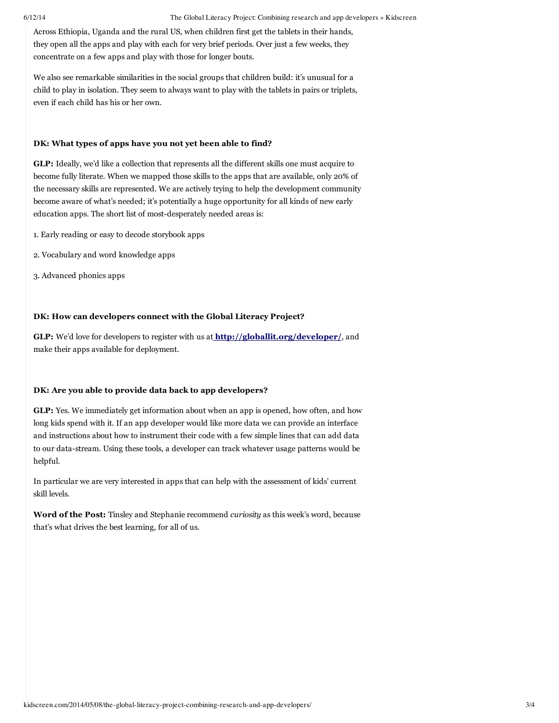Across Ethiopia, Uganda and the rural US, when children first get the tablets in their hands, they open all the apps and play with each for very brief periods. Over just a few weeks, they concentrate on a few apps and play with those for longer bouts.

We also see remarkable similarities in the social groups that children build: it's unusual for a child to play in isolation. They seem to always want to play with the tablets in pairs or triplets, even if each child has his or her own.

## **DK: What types of apps have you not yet been able to find?**

**GLP:** Ideally, we'd like a collection that represents all the different skills one must acquire to become fully literate. When we mapped those skills to the apps that are available, only 20% of the necessary skills are represented. We are actively trying to help the development community become aware of what's needed; it's potentially a huge opportunity for all kinds of new early education apps. The short list of most-desperately needed areas is:

- 1. Early reading or easy to decode storybook apps
- 2. Vocabulary and word knowledge apps
- 3. Advanced phonics apps

## **DK: How can developers connect with the Global Literacy Project?**

**GLP:** We'd love for developers to register with us at **<http://globallit.org/developer/>**, and make their apps available for deployment.

#### **DK: Are you able to provide data back to app developers?**

**GLP:** Yes. We immediately get information about when an app is opened, how often, and how long kids spend with it. If an app developer would like more data we can provide an interface and instructions about how to instrument their code with a few simple lines that can add data to our data-stream. Using these tools, a developer can track whatever usage patterns would be helpful.

In particular we are very interested in apps that can help with the assessment of kids' current skill levels.

**Word of the Post:** Tinsley and Stephanie recommend *curiosity* as this week's word, because that's what drives the best learning, for all of us.